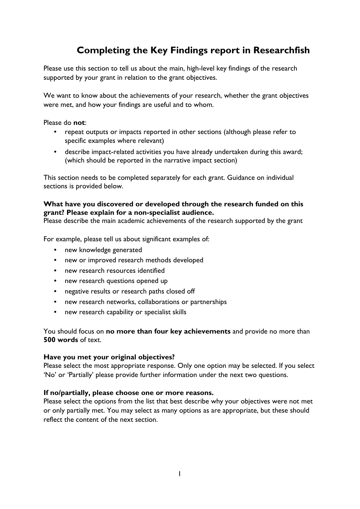## **Completing the Key Findings report in Researchfish**

Please use this section to tell us about the main, high-level key findings of the research supported by your grant in relation to the grant objectives.

We want to know about the achievements of your research, whether the grant objectives were met, and how your findings are useful and to whom.

Please do **not**:

- repeat outputs or impacts reported in other sections (although please refer to specific examples where relevant)
- describe impact-related activities you have already undertaken during this award; (which should be reported in the narrative impact section)

This section needs to be completed separately for each grant. Guidance on individual sections is provided below.

## **What have you discovered or developed through the research funded on this grant? Please explain for a non-specialist audience.**

Please describe the main academic achievements of the research supported by the grant

For example, please tell us about significant examples of:

- new knowledge generated
- new or improved research methods developed
- new research resources identified
- new research questions opened up
- negative results or research paths closed off
- new research networks, collaborations or partnerships
- new research capability or specialist skills

You should focus on **no more than four key achievements** and provide no more than **500 words** of text.

## **Have you met your original objectives?**

Please select the most appropriate response. Only one option may be selected. If you select 'No' or 'Partially' please provide further information under the next two questions.

## **If no/partially, please choose one or more reasons.**

Please select the options from the list that best describe why your objectives were not met or only partially met. You may select as many options as are appropriate, but these should reflect the content of the next section.